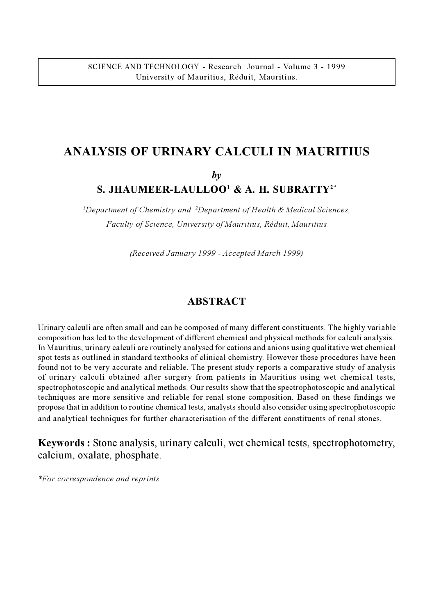# **ANALYSIS OF URINARY CALCULI IN MAURITIUS**

*by*

# **S. JHAUMEER-LAULLOO<sup>1</sup> & A. H. SUBRATTY2\***

*1 Department of Chemistry and <sup>2</sup> Department of Health & Medical Sciences, Faculty of Science, University of Mauritius, Réduit, Mauritius*

*(Received January 1999 - Accepted March 1999)*

#### **ABSTRACT**

Urinary calculi are often small and can be composed of many different constituents. The highly variable composition has led to the development of different chemical and physical methods for calculi analysis. In Mauritius, urinary calculi are routinely analysed for cations and anions using qualitative wet chemical spot tests as outlined in standard textbooks of clinical chemistry. However these procedures have been found not to be very accurate and reliable. The present study reports a comparative study of analysis of urinary calculi obtained after surgery from patients in Mauritius using wet chemical tests, spectrophotoscopic and analytical methods. Our results show that the spectrophotoscopic and analytical techniques are more sensitive and reliable for renal stone composition. Based on these findings we propose that in addition to routine chemical tests, analysts should also consider using spectrophotoscopic and analytical techniques for further characterisation of the different constituents of renal stones.

**Keywords :** Stone analysis, urinary calculi, wet chemical tests, spectrophotometry, calcium, oxalate, phosphate.

*\*For correspondence and reprints*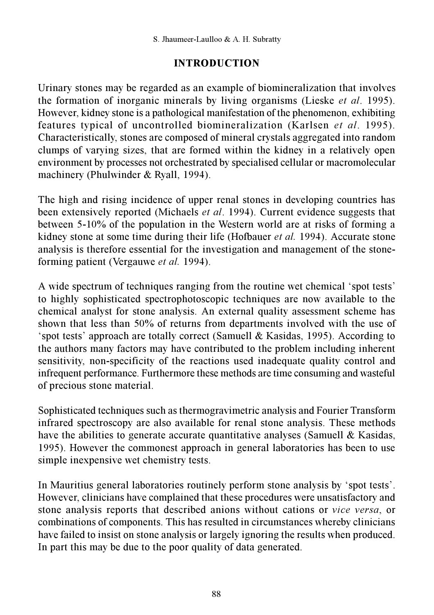### **INTRODUCTION**

Urinary stones may be regarded as an example of biomineralization that involves the formation of inorganic minerals by living organisms (Lieske *et al*. 1995). However, kidney stone is a pathological manifestation of the phenomenon, exhibiting features typical of uncontrolled biomineralization (Karlsen *et al*. 1995). Characteristically, stones are composed of mineral crystals aggregated into random clumps of varying sizes, that are formed within the kidney in a relatively open environment by processes not orchestrated by specialised cellular or macromolecular machinery (Phulwinder & Ryall, 1994).

The high and rising incidence of upper renal stones in developing countries has been extensively reported (Michaels *et al*. 1994). Current evidence suggests that between 5-10% of the population in the Western world are at risks of forming a kidney stone at some time during their life (Hofbauer *et al.* 1994). Accurate stone analysis is therefore essential for the investigation and management of the stoneforming patient (Vergauwe *et al.* 1994).

A wide spectrum of techniques ranging from the routine wet chemical 'spot tests' to highly sophisticated spectrophotoscopic techniques are now available to the chemical analyst for stone analysis. An external quality assessment scheme has shown that less than 50% of returns from departments involved with the use of spot tests' approach are totally correct (Samuell  $&$  Kasidas, 1995). According to the authors many factors may have contributed to the problem including inherent sensitivity, non-specificity of the reactions used inadequate quality control and infrequent performance. Furthermore these methods are time consuming and wasteful of precious stone material.

Sophisticated techniques such as thermogravimetric analysis and Fourier Transform infrared spectroscopy are also available for renal stone analysis. These methods have the abilities to generate accurate quantitative analyses (Samuell & Kasidas, 1995). However the commonest approach in general laboratories has been to use simple inexpensive wet chemistry tests.

In Mauritius general laboratories routinely perform stone analysis by 'spot tests'. However, clinicians have complained that these procedures were unsatisfactory and stone analysis reports that described anions without cations or *vice versa*, or combinations of components. This has resulted in circumstances whereby clinicians have failed to insist on stone analysis or largely ignoring the results when produced. In part this may be due to the poor quality of data generated.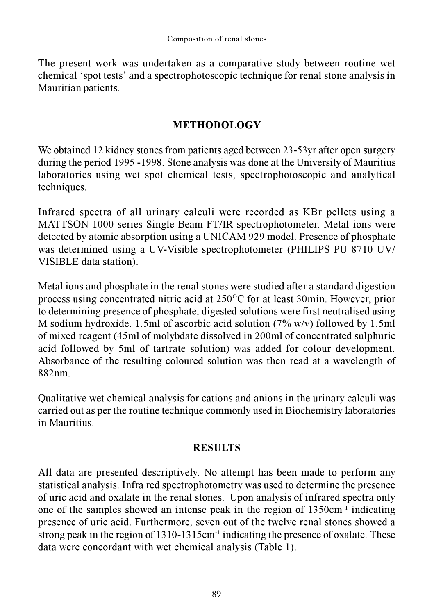The present work was undertaken as a comparative study between routine wet chemical 'spot tests' and a spectrophotoscopic technique for renal stone analysis in Mauritian patients.

## **METHODOLOGY**

We obtained 12 kidney stones from patients aged between 23-53yr after open surgery during the period 1995 -1998. Stone analysis was done at the University of Mauritius laboratories using wet spot chemical tests, spectrophotoscopic and analytical techniques.

Infrared spectra of all urinary calculi were recorded as KBr pellets using a MATTSON 1000 series Single Beam FT/IR spectrophotometer. Metal ions were detected by atomic absorption using a UNICAM 929 model. Presence of phosphate was determined using a UV-Visible spectrophotometer (PHILIPS PU 8710 UV/ VISIBLE data station).

Metal ions and phosphate in the renal stones were studied after a standard digestion process using concentrated nitric acid at  $250^{\circ}$ C for at least 30min. However, prior to determining presence of phosphate, digested solutions were first neutralised using M sodium hydroxide. 1.5ml of ascorbic acid solution  $(7\% w/v)$  followed by 1.5ml of mixed reagent (45ml of molybdate dissolved in 200ml of concentrated sulphuric acid followed by 5ml of tartrate solution) was added for colour development. Absorbance of the resulting coloured solution was then read at a wavelength of 882nm.

Qualitative wet chemical analysis for cations and anions in the urinary calculi was carried out as per the routine technique commonly used in Biochemistry laboratories in Mauritius.

#### **RESULTS**

All data are presented descriptively. No attempt has been made to perform any statistical analysis. Infra red spectrophotometry was used to determine the presence of uric acid and oxalate in the renal stones. Upon analysis of infrared spectra only one of the samples showed an intense peak in the region of  $1350 \text{cm}^{-1}$  indicating presence of uric acid. Furthermore, seven out of the twelve renal stones showed a strong peak in the region of  $1310-1315$ cm<sup>-1</sup> indicating the presence of oxalate. These data were concordant with wet chemical analysis (Table 1).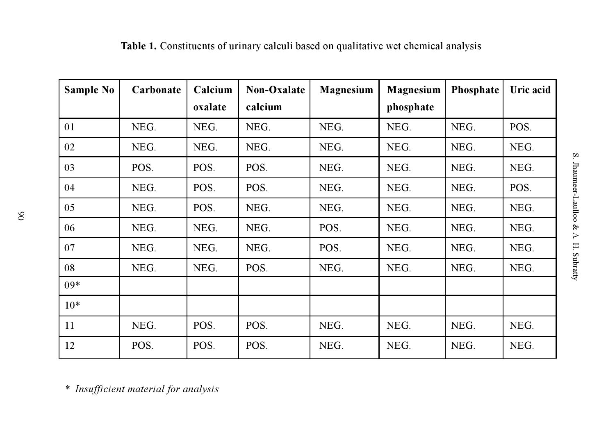| <b>Sample No</b> | Carbonate | Calcium | Non-Oxalate | <b>Magnesium</b> | Magnesium | Phosphate | Uric acid |
|------------------|-----------|---------|-------------|------------------|-----------|-----------|-----------|
|                  |           | oxalate | calcium     |                  | phosphate |           |           |
| 01               | NEG.      | NEG.    | NEG.        | NEG.             | NEG.      | NEG.      | POS.      |
| 02               | NEG.      | NEG.    | NEG.        | NEG.             | NEG.      | NEG.      | NEG.      |
| 03               | POS.      | POS.    | POS.        | NEG.             | NEG.      | NEG.      | NEG.      |
| 04               | NEG.      | POS.    | POS.        | NEG.             | NEG.      | NEG.      | POS.      |
| 05               | NEG.      | POS.    | NEG.        | NEG.             | NEG.      | NEG.      | NEG.      |
| 06               | NEG.      | NEG.    | NEG.        | POS.             | NEG.      | NEG.      | NEG.      |
| 07               | NEG.      | NEG.    | NEG.        | POS.             | NEG.      | NEG.      | NEG.      |
| 08               | NEG.      | NEG.    | POS.        | NEG.             | NEG.      | NEG.      | NEG.      |
| $09*$            |           |         |             |                  |           |           |           |
| $10*$            |           |         |             |                  |           |           |           |
| 11               | NEG.      | POS.    | POS.        | NEG.             | NEG.      | NEG.      | NEG.      |
| 12               | POS.      | POS.    | POS.        | NEG.             | NEG.      | NEG.      | NEG.      |

**Table 1.** Constituents of urinary calculi based on qualitative wet chemical analysis

*\* Insufficient material for analysis*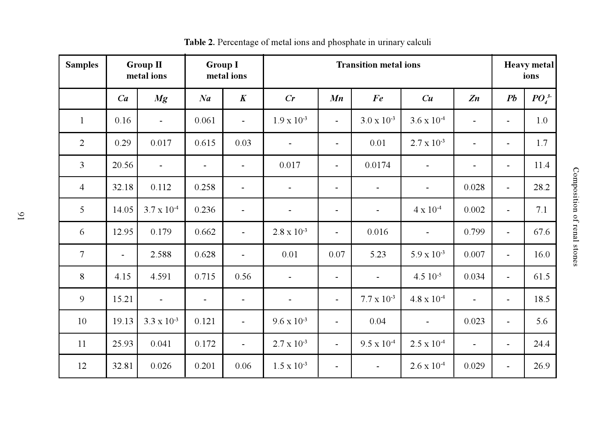| <b>Samples</b>   | <b>Group II</b><br>metal ions |                          | <b>Group I</b><br>metal ions |                          | <b>Transition metal ions</b> |                          |                          |                          |                          | <b>Heavy metal</b><br>ions |          |
|------------------|-------------------------------|--------------------------|------------------------------|--------------------------|------------------------------|--------------------------|--------------------------|--------------------------|--------------------------|----------------------------|----------|
|                  | Ca                            | Mg                       | Na                           | $\boldsymbol{K}$         | Cr                           | Mn                       | Fe                       | Cu                       | Z <sub>n</sub>           | Pb                         | $PO_4^3$ |
| $\mathbf{1}$     | 0.16                          | $\blacksquare$           | 0.061                        | $\blacksquare$           | $1.9 \times 10^{-3}$         | $\overline{\phantom{a}}$ | $3.0 \times 10^{-3}$     | $3.6 \times 10^{-4}$     | $\overline{\phantom{a}}$ | $\overline{\phantom{a}}$   | 1.0      |
| 2                | 0.29                          | 0.017                    | 0.615                        | 0.03                     | $\overline{\phantom{a}}$     | $\overline{\phantom{a}}$ | 0.01                     | $2.7 \times 10^{-3}$     | $\overline{\phantom{a}}$ | $\overline{\phantom{a}}$   | 1.7      |
| 3                | 20.56                         | $\overline{\phantom{a}}$ | $\overline{\phantom{a}}$     | $\overline{\phantom{a}}$ | 0.017                        | $\overline{\phantom{a}}$ | 0.0174                   | $\overline{\phantom{a}}$ | $\overline{\phantom{a}}$ | $\overline{\phantom{a}}$   | 11.4     |
| $\overline{4}$   | 32.18                         | 0.112                    | 0.258                        | $\overline{\phantom{a}}$ | $\overline{\phantom{a}}$     | $\overline{\phantom{a}}$ | $\overline{\phantom{a}}$ | $\overline{\phantom{a}}$ | 0.028                    | $\overline{\phantom{0}}$   | 28.2     |
| 5                | 14.05                         | $3.7 \times 10^{4}$      | 0.236                        | $\overline{\phantom{a}}$ | $\overline{\phantom{a}}$     | $\overline{\phantom{a}}$ | $\overline{\phantom{a}}$ | $4 \times 10^{-4}$       | 0.002                    | $\blacksquare$             | 7.1      |
| 6                | 12.95                         | 0.179                    | 0.662                        | $\blacksquare$           | $2.8 \times 10^{-3}$         | $\blacksquare$           | 0.016                    | $\blacksquare$           | 0.799                    | $\blacksquare$             | 67.6     |
| $\boldsymbol{7}$ | $\blacksquare$                | 2.588                    | 0.628                        |                          | 0.01                         | 0.07                     | 5.23                     | $5.9 \times 10^{-3}$     | 0.007                    | ä,                         | 16.0     |
| $8\,$            | 4.15                          | 4.591                    | 0.715                        | 0.56                     | $\overline{\phantom{a}}$     | $\overline{\phantom{a}}$ |                          | $4.510^{-5}$             | 0.034                    | $\overline{\phantom{m}}$   | 61.5     |
| 9                | 15.21                         | $\blacksquare$           | $\overline{\phantom{a}}$     | $\overline{\phantom{a}}$ | $\overline{\phantom{a}}$     | $\overline{\phantom{a}}$ | $7.7 \times 10^{-3}$     | $4.8 \times 10^{-4}$     | $\overline{\phantom{a}}$ | $\overline{\phantom{a}}$   | 18.5     |
| 10               | 19.13                         | $3.3 \times 10^{-3}$     | 0.121                        | $\overline{\phantom{a}}$ | $9.6 \times 10^{-3}$         | $\overline{\phantom{a}}$ | 0.04                     | $\overline{\phantom{a}}$ | 0.023                    | $\overline{\phantom{a}}$   | 5.6      |
| 11               | 25.93                         | 0.041                    | 0.172                        | $\overline{\phantom{a}}$ | $2.7 \times 10^{-3}$         | $\blacksquare$           | $9.5 \times 10^{-4}$     | $2.5 \times 10^{-4}$     | $\overline{\phantom{a}}$ | $\overline{\phantom{a}}$   | 24.4     |
| 12               | 32.81                         | 0.026                    | 0.201                        | 0.06                     | $1.5 \times 10^{-3}$         | $\overline{\phantom{a}}$ | $\overline{\phantom{a}}$ | $2.6 \times 10^{-4}$     | 0.029                    | $\overline{\phantom{a}}$   | 26.9     |

**Table 2.** Percentage of metal ions and phosphate in urinary calculi

Composition of renal stones Composition of renal stones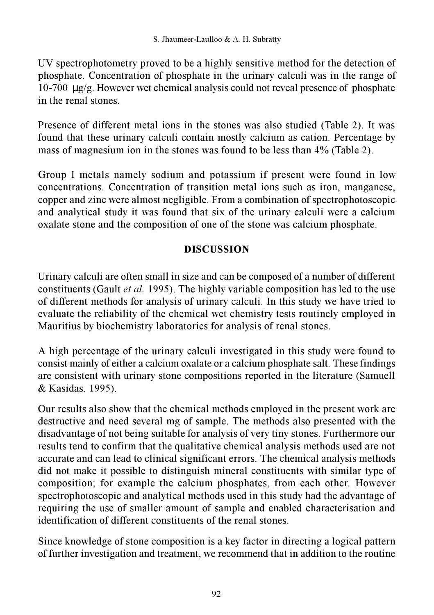UV spectrophotometry proved to be a highly sensitive method for the detection of phosphate. Concentration of phosphate in the urinary calculi was in the range of 10-700 µg/g. However wet chemical analysis could not reveal presence of phosphate in the renal stones.

Presence of different metal ions in the stones was also studied (Table 2). It was found that these urinary calculi contain mostly calcium as cation. Percentage by mass of magnesium ion in the stones was found to be less than 4% (Table 2).

Group I metals namely sodium and potassium if present were found in low concentrations. Concentration of transition metal ions such as iron, manganese, copper and zinc were almost negligible. From a combination of spectrophotoscopic and analytical study it was found that six of the urinary calculi were a calcium oxalate stone and the composition of one of the stone was calcium phosphate.

## **DISCUSSION**

Urinary calculi are often small in size and can be composed of a number of different constituents (Gault *et al.* 1995). The highly variable composition has led to the use of different methods for analysis of urinary calculi. In this study we have tried to evaluate the reliability of the chemical wet chemistry tests routinely employed in Mauritius by biochemistry laboratories for analysis of renal stones.

A high percentage of the urinary calculi investigated in this study were found to consist mainly of either a calcium oxalate or a calcium phosphate salt. These findings are consistent with urinary stone compositions reported in the literature (Samuell & Kasidas, 1995).

Our results also show that the chemical methods employed in the present work are destructive and need several mg of sample. The methods also presented with the disadvantage of not being suitable for analysis of very tiny stones. Furthermore our results tend to confirm that the qualitative chemical analysis methods used are not accurate and can lead to clinical significant errors. The chemical analysis methods did not make it possible to distinguish mineral constituents with similar type of composition; for example the calcium phosphates, from each other. However spectrophotoscopic and analytical methods used in this study had the advantage of requiring the use of smaller amount of sample and enabled characterisation and identification of different constituents of the renal stones.

Since knowledge of stone composition is a key factor in directing a logical pattern of further investigation and treatment, we recommend that in addition to the routine